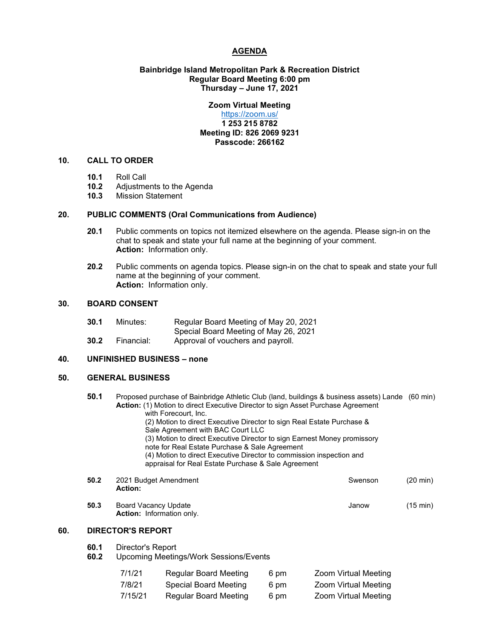## **AGENDA**

# **Bainbridge Island Metropolitan Park & Recreation District Regular Board Meeting 6:00 pm Thursday – June 17, 2021**

# **Zoom Virtual Meeting**

# <https://zoom.us/> **1 253 215 8782 Meeting ID: 826 2069 9231 Passcode: 266162**

# **10. CALL TO ORDER**

- **10.1** Roll Call
- 10.2 Adjustments to the Agenda<br>10.3 Mission Statement
- **10.3** Mission Statement

### **20. PUBLIC COMMENTS (Oral Communications from Audience)**

- **20.1** Public comments on topics not itemized elsewhere on the agenda. Please sign-in on the chat to speak and state your full name at the beginning of your comment. **Action:** Information only.
- **20.2** Public comments on agenda topics. Please sign-in on the chat to speak and state your full name at the beginning of your comment. **Action:** Information only.

# **30. BOARD CONSENT**

| 30.1 | Minutes: | Regular Board Meeting of May 20, 2021 |
|------|----------|---------------------------------------|
|      |          | Special Board Meeting of May 26, 2021 |

**30.2** Financial: Approval of vouchers and payroll.

# **40. UNFINISHED BUSINESS – none**

# **50. GENERAL BUSINESS**

**50.1** Proposed purchase of Bainbridge Athletic Club (land, buildings & business assets) Lande (60 min) **Action:** (1) Motion to direct Executive Director to sign Asset Purchase Agreement with Forecourt, Inc.

> (2) Motion to direct Executive Director to sign Real Estate Purchase & Sale Agreement with BAC Court LLC

(3) Motion to direct Executive Director to sign Earnest Money promissory

- note for Real Estate Purchase & Sale Agreement
- (4) Motion to direct Executive Director to commission inspection and
- appraisal for Real Estate Purchase & Sale Agreement
- **50.2** 2021 Budget Amendment **Swenson** (20 min) **Action:**
- **50.3** Board Vacancy Update **January 15** and Vacancy Update **January 15** and Vacancy Update **January 15** and Vacancy Update **Action:** Information only.

# **60. DIRECTOR'S REPORT**

- **60.1** Director's Report
- **60.2** Upcoming Meetings/Work Sessions/Events

| 7/1/21  | <b>Regular Board Meeting</b> | 6 pm | Zoom Virtual Meeting |
|---------|------------------------------|------|----------------------|
| 7/8/21  | Special Board Meeting        | 6 pm | Zoom Virtual Meeting |
| 7/15/21 | Regular Board Meeting        | 6 pm | Zoom Virtual Meeting |